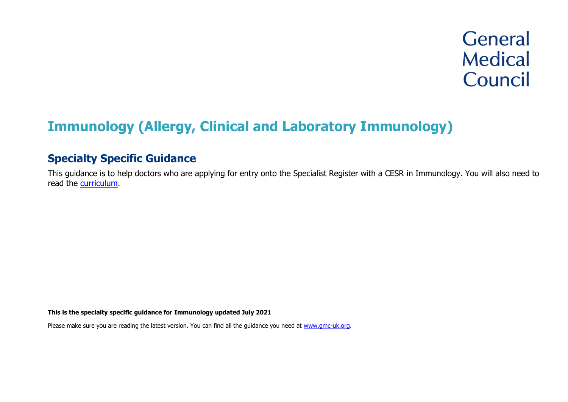# **Immunology (Allergy, Clinical and Laboratory Immunology)**

# **Specialty Specific Guidance**

This guidance is to help doctors who are applying for entry onto the Specialist Register with a CESR in Immunology. You will also need to read the [curriculum.](https://www.gmc-uk.org/education/standards-guidance-and-curricula/curricula%23T)

**This is the specialty specific guidance for Immunology updated July 2021**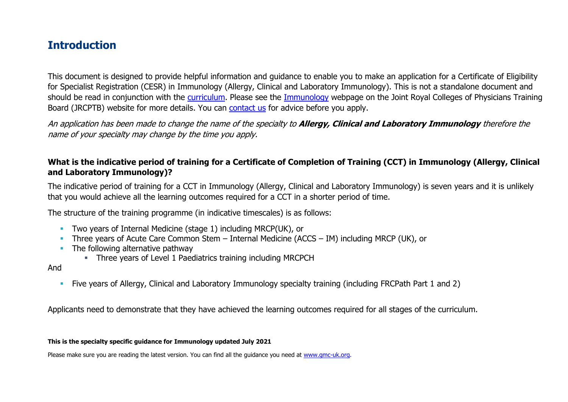# **Introduction**

This document is designed to provide helpful information and guidance to enable you to make an application for a Certificate of Eligibility for Specialist Registration (CESR) in Immunology (Allergy, Clinical and Laboratory Immunology). This is not a standalone document and should be read in conjunction with the [curriculum.](https://www.gmc-uk.org/education/standards-guidance-and-curricula/curricula#T) Please see the [Immunology](https://www.jrcptb.org.uk/specialties/immunology) webpage on the Joint Royal Colleges of Physicians Training Board (JRCPTB) website for more details. You can [contact us](http://www.gmc-uk.org/about/contacts.asp) for advice before you apply.

An application has been made to change the name of the specialty to **Allergy, Clinical and Laboratory Immunology** therefore the name of your specialty may change by the time you apply.

### **What is the indicative period of training for a Certificate of Completion of Training (CCT) in Immunology (Allergy, Clinical and Laboratory Immunology)?**

The indicative period of training for a CCT in Immunology (Allergy, Clinical and Laboratory Immunology) is seven years and it is unlikely that you would achieve all the learning outcomes required for a CCT in a shorter period of time.

The structure of the training programme (in indicative timescales) is as follows:

- **Two years of Internal Medicine (stage 1) including MRCP(UK), or**
- **·** Three years of Acute Care Common Stem Internal Medicine (ACCS IM) including MRCP (UK), or
- The following alternative pathway
	- **EXECT** Three years of Level 1 Paediatrics training including MRCPCH

#### And

▪ Five years of Allergy, Clinical and Laboratory Immunology specialty training (including FRCPath Part 1 and 2)

Applicants need to demonstrate that they have achieved the learning outcomes required for all stages of the curriculum.

#### **This is the specialty specific guidance for Immunology updated July 2021**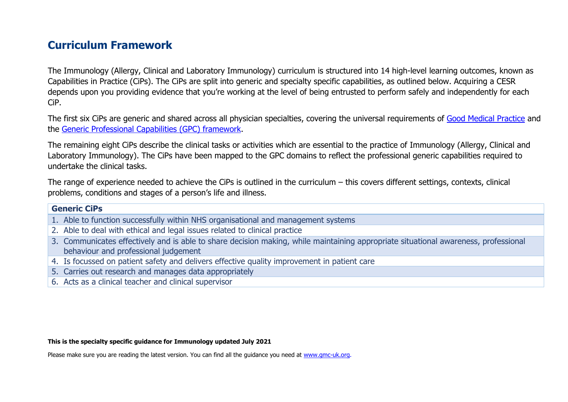# **Curriculum Framework**

The Immunology (Allergy, Clinical and Laboratory Immunology) curriculum is structured into 14 high-level learning outcomes, known as Capabilities in Practice (CiPs). The CiPs are split into generic and specialty specific capabilities, as outlined below. Acquiring a CESR depends upon you providing evidence that you're working at the level of being entrusted to perform safely and independently for each CiP.

The first six CiPs are generic and shared across all physician specialties, covering the universal requirements of [Good Medical Practice](https://www.gmc-uk.org/-/media/documents/good-medical-practice---english-20200128_pdf-51527435.pdf?la=en&hash=DA1263358CCA88F298785FE2BD7610EB4EE9A530) and the [Generic Professional Capabilities \(GPC\) framework.](https://www.gmc-uk.org/-/media/documents/generic-professional-capabilities-framework--0817_pdf-70417127.pdf)

The remaining eight CiPs describe the clinical tasks or activities which are essential to the practice of Immunology (Allergy, Clinical and Laboratory Immunology). The CiPs have been mapped to the GPC domains to reflect the professional generic capabilities required to undertake the clinical tasks.

The range of experience needed to achieve the CiPs is outlined in the curriculum – this covers different settings, contexts, clinical problems, conditions and stages of a person's life and illness.

#### **Generic CiPs**

- 1. Able to function successfully within NHS organisational and management systems
- 2. Able to deal with ethical and legal issues related to clinical practice
- 3. Communicates effectively and is able to share decision making, while maintaining appropriate situational awareness, professional behaviour and professional judgement
- 4. Is focussed on patient safety and delivers effective quality improvement in patient care
- 5. Carries out research and manages data appropriately
- 6. Acts as a clinical teacher and clinical supervisor

#### **This is the specialty specific guidance for Immunology updated July 2021**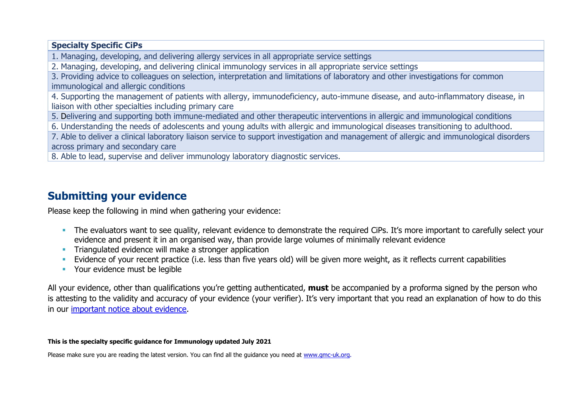#### **Specialty Specific CiPs**

1. Managing, developing, and delivering allergy services in all appropriate service settings

2. Managing, developing, and delivering clinical immunology services in all appropriate service settings

3. Providing advice to colleagues on selection, interpretation and limitations of laboratory and other investigations for common immunological and allergic conditions

4. Supporting the management of patients with allergy, immunodeficiency, auto-immune disease, and auto-inflammatory disease, in liaison with other specialties including primary care

5. Delivering and supporting both immune-mediated and other therapeutic interventions in allergic and immunological conditions

6. Understanding the needs of adolescents and young adults with allergic and immunological diseases transitioning to adulthood.

7. Able to deliver a clinical laboratory liaison service to support investigation and management of allergic and immunological disorders across primary and secondary care

8. Able to lead, supervise and deliver immunology laboratory diagnostic services.

# **Submitting your evidence**

Please keep the following in mind when gathering your evidence:

- **•** The evaluators want to see quality, relevant evidence to demonstrate the required CiPs. It's more important to carefully select your evidence and present it in an organised way, than provide large volumes of minimally relevant evidence
- **•** Triangulated evidence will make a stronger application
- Evidence of your recent practice (i.e. less than five years old) will be given more weight, as it reflects current capabilities
- Your evidence must be legible

All your evidence, other than qualifications you're getting authenticated, **must** be accompanied by a proforma signed by the person who is attesting to the validity and accuracy of your evidence (your verifier). It's very important that you read an explanation of how to do this in our [important notice about evidence.](http://www.gmc-uk.org/doctors/evidence_notice.asp)

#### **This is the specialty specific guidance for Immunology updated July 2021**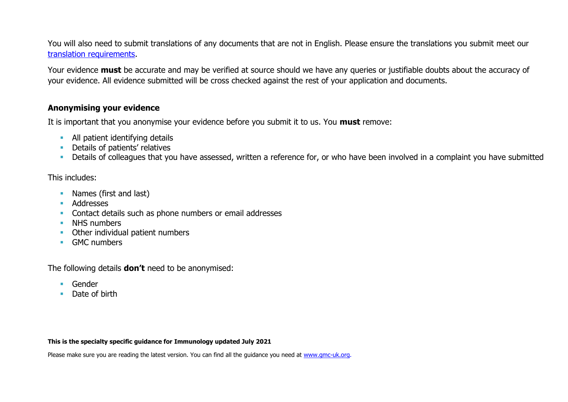You will also need to submit translations of any documents that are not in English. Please ensure the translations you submit meet our [translation requirements.](http://www.gmc-uk.org/doctors/translations.asp)

Your evidence **must** be accurate and may be verified at source should we have any queries or justifiable doubts about the accuracy of your evidence. All evidence submitted will be cross checked against the rest of your application and documents.

#### **Anonymising your evidence**

It is important that you anonymise your evidence before you submit it to us. You **must** remove:

- **E** All patient identifying details
- **•** Details of patients' relatives
- **·** Details of colleagues that you have assessed, written a reference for, or who have been involved in a complaint you have submitted

#### This includes:

- Names (first and last)
- Addresses
- **EXECONTER CONTACT CONTACT AS INCREDIST** Contact details such as phone numbers or email addresses
- **E** NHS numbers
- Other individual patient numbers
- GMC numbers

The following details **don't** need to be anonymised:

- Gender
- Date of birth

#### **This is the specialty specific guidance for Immunology updated July 2021**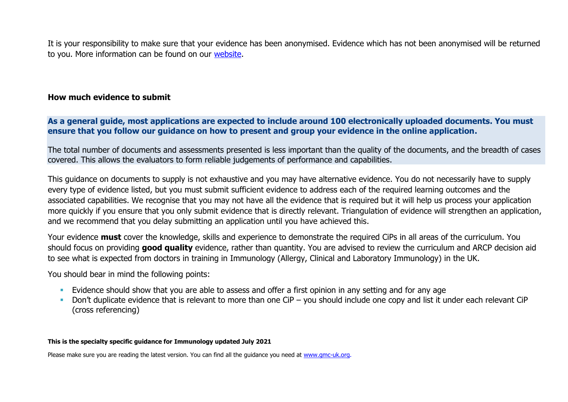It is your responsibility to make sure that your evidence has been anonymised. Evidence which has not been anonymised will be returned to you. More information can be found on our [website.](https://www.gmc-uk.org/registration-and-licensing/join-the-register/registration-applications/cesr-cegpr-application-process/anonymisation)

#### **How much evidence to submit**

**As a general guide, most applications are expected to include around 100 electronically uploaded documents. You must ensure that you follow our guidance on how to present and group your evidence in the online application.**

The total number of documents and assessments presented is less important than the quality of the documents, and the breadth of cases covered. This allows the evaluators to form reliable judgements of performance and capabilities.

This guidance on documents to supply is not exhaustive and you may have alternative evidence. You do not necessarily have to supply every type of evidence listed, but you must submit sufficient evidence to address each of the required learning outcomes and the associated capabilities. We recognise that you may not have all the evidence that is required but it will help us process your application more quickly if you ensure that you only submit evidence that is directly relevant. Triangulation of evidence will strengthen an application, and we recommend that you delay submitting an application until you have achieved this.

Your evidence **must** cover the knowledge, skills and experience to demonstrate the required CiPs in all areas of the curriculum. You should focus on providing **good quality** evidence, rather than quantity. You are advised to review the curriculum and ARCP decision aid to see what is expected from doctors in training in Immunology (Allergy, Clinical and Laboratory Immunology) in the UK.

You should bear in mind the following points:

- **Evidence should show that you are able to assess and offer a first opinion in any setting and for any age**
- Don't duplicate evidence that is relevant to more than one CiP you should include one copy and list it under each relevant CiP (cross referencing)

#### **This is the specialty specific guidance for Immunology updated July 2021**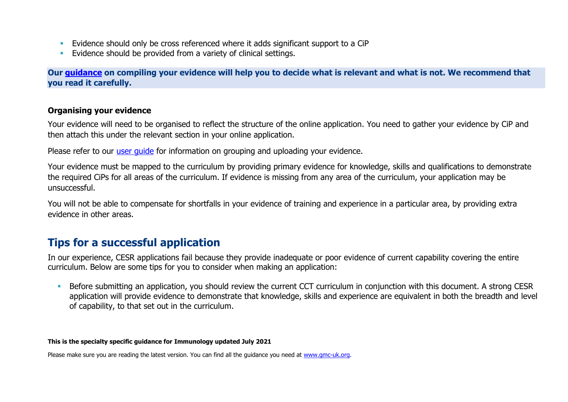- **Evidence should only be cross referenced where it adds significant support to a CiP**
- **Evidence should be provided from a variety of clinical settings.**

**Our [guidance](https://www.gmc-uk.org/-/media/documents/sat---cesr-cegpr-online-application---user-guide---dc11550_pdf-76194730.pdf) on compiling your evidence will help you to decide what is relevant and what is not. We recommend that you read it carefully.**

#### **Organising your evidence**

Your evidence will need to be organised to reflect the structure of the online application. You need to gather your evidence by CiP and then attach this under the relevant section in your online application.

Please refer to our user quide for information on grouping and uploading your evidence.

Your evidence must be mapped to the curriculum by providing primary evidence for knowledge, skills and qualifications to demonstrate the required CiPs for all areas of the curriculum. If evidence is missing from any area of the curriculum, your application may be unsuccessful.

You will not be able to compensate for shortfalls in your evidence of training and experience in a particular area, by providing extra evidence in other areas.

# **Tips for a successful application**

In our experience, CESR applications fail because they provide inadequate or poor evidence of current capability covering the entire curriculum. Below are some tips for you to consider when making an application:

■ Before submitting an application, you should review the current CCT curriculum in conjunction with this document. A strong CESR application will provide evidence to demonstrate that knowledge, skills and experience are equivalent in both the breadth and level of capability, to that set out in the curriculum.

#### **This is the specialty specific guidance for Immunology updated July 2021**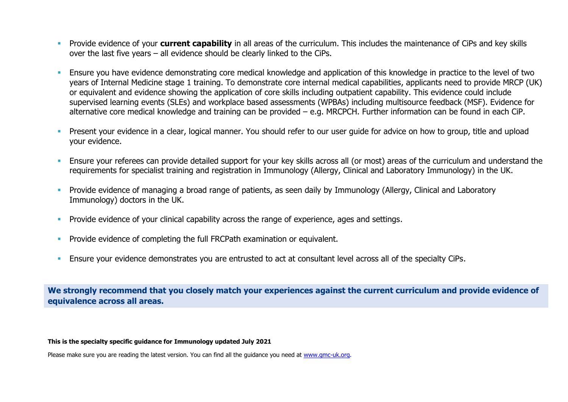- **•** Provide evidence of your **current capability** in all areas of the curriculum. This includes the maintenance of CiPs and key skills over the last five years – all evidence should be clearly linked to the CiPs.
- Ensure you have evidence demonstrating core medical knowledge and application of this knowledge in practice to the level of two years of Internal Medicine stage 1 training. To demonstrate core internal medical capabilities, applicants need to provide MRCP (UK) or equivalent and evidence showing the application of core skills including outpatient capability. This evidence could include supervised learning events (SLEs) and workplace based assessments (WPBAs) including multisource feedback (MSF). Evidence for alternative core medical knowledge and training can be provided – e.g. MRCPCH. Further information can be found in each CiP.
- Present your evidence in a clear, logical manner. You should refer to our user guide for advice on how to group, title and upload your evidence.
- **Ensure your referees can provide detailed support for your key skills across all (or most) areas of the curriculum and understand the** requirements for specialist training and registration in Immunology (Allergy, Clinical and Laboratory Immunology) in the UK.
- **•** Provide evidence of managing a broad range of patients, as seen daily by Immunology (Allergy, Clinical and Laboratory Immunology) doctors in the UK.
- **•** Provide evidence of your clinical capability across the range of experience, ages and settings.
- **•** Provide evidence of completing the full FRCPath examination or equivalent.
- **Ensure your evidence demonstrates you are entrusted to act at consultant level across all of the specialty CiPs.**

**We strongly recommend that you closely match your experiences against the current curriculum and provide evidence of equivalence across all areas.** 

#### **This is the specialty specific guidance for Immunology updated July 2021**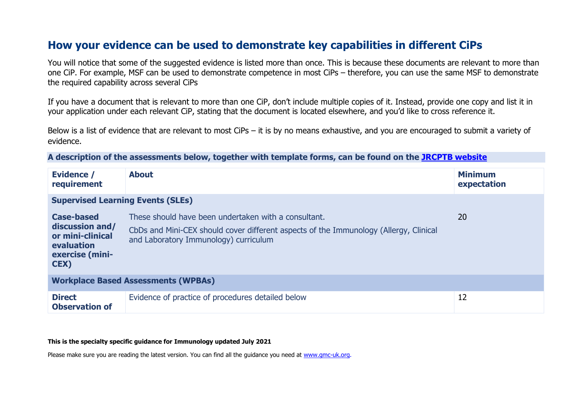# **How your evidence can be used to demonstrate key capabilities in different CiPs**

You will notice that some of the suggested evidence is listed more than once. This is because these documents are relevant to more than one CiP. For example, MSF can be used to demonstrate competence in most CiPs – therefore, you can use the same MSF to demonstrate the required capability across several CiPs

If you have a document that is relevant to more than one CiP, don't include multiple copies of it. Instead, provide one copy and list it in your application under each relevant CiP, stating that the document is located elsewhere, and you'd like to cross reference it.

Below is a list of evidence that are relevant to most CiPs – it is by no means exhaustive, and you are encouraged to submit a variety of evidence.

**A description of the assessments below, together with template forms, can be found on the [JRCPTB website](https://www.jrcptb.org.uk/assessment/workplace-based-assessment)**

| <b>Evidence /</b><br>requirement                                                                  | <b>About</b>                                                                                                                                                                           | <b>Minimum</b><br>expectation |
|---------------------------------------------------------------------------------------------------|----------------------------------------------------------------------------------------------------------------------------------------------------------------------------------------|-------------------------------|
| <b>Supervised Learning Events (SLEs)</b>                                                          |                                                                                                                                                                                        |                               |
| <b>Case-based</b><br>discussion and/<br>or mini-clinical<br>evaluation<br>exercise (mini-<br>CEX) | These should have been undertaken with a consultant.<br>CbDs and Mini-CEX should cover different aspects of the Immunology (Allergy, Clinical<br>and Laboratory Immunology) curriculum | <b>20</b>                     |
| <b>Workplace Based Assessments (WPBAs)</b>                                                        |                                                                                                                                                                                        |                               |
| <b>Direct</b><br><b>Observation of</b>                                                            | Evidence of practice of procedures detailed below                                                                                                                                      | 12                            |

#### **This is the specialty specific guidance for Immunology updated July 2021**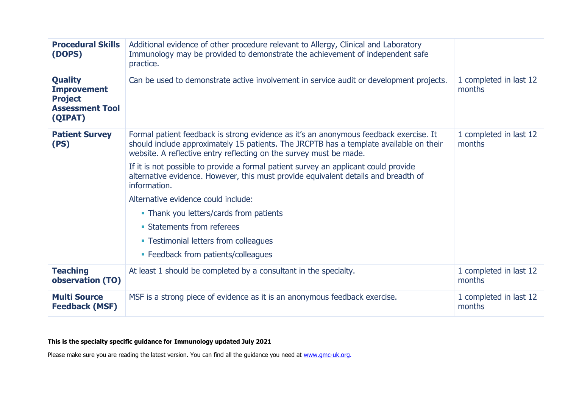| <b>Procedural Skills</b><br>(DOPS)                                                          | Additional evidence of other procedure relevant to Allergy, Clinical and Laboratory<br>Immunology may be provided to demonstrate the achievement of independent safe<br>practice.                                                                     |                                  |
|---------------------------------------------------------------------------------------------|-------------------------------------------------------------------------------------------------------------------------------------------------------------------------------------------------------------------------------------------------------|----------------------------------|
| <b>Quality</b><br><b>Improvement</b><br><b>Project</b><br><b>Assessment Tool</b><br>(QIPAT) | Can be used to demonstrate active involvement in service audit or development projects.                                                                                                                                                               | 1 completed in last 12<br>months |
| <b>Patient Survey</b><br>(PS)                                                               | Formal patient feedback is strong evidence as it's an anonymous feedback exercise. It<br>should include approximately 15 patients. The JRCPTB has a template available on their<br>website. A reflective entry reflecting on the survey must be made. | 1 completed in last 12<br>months |
|                                                                                             | If it is not possible to provide a formal patient survey an applicant could provide<br>alternative evidence. However, this must provide equivalent details and breadth of<br>information.                                                             |                                  |
|                                                                                             | Alternative evidence could include:                                                                                                                                                                                                                   |                                  |
|                                                                                             | • Thank you letters/cards from patients                                                                                                                                                                                                               |                                  |
|                                                                                             | • Statements from referees                                                                                                                                                                                                                            |                                  |
|                                                                                             | • Testimonial letters from colleagues                                                                                                                                                                                                                 |                                  |
|                                                                                             | • Feedback from patients/colleagues                                                                                                                                                                                                                   |                                  |
| <b>Teaching</b><br>observation (TO)                                                         | At least 1 should be completed by a consultant in the specialty.                                                                                                                                                                                      | 1 completed in last 12<br>months |
| <b>Multi Source</b><br><b>Feedback (MSF)</b>                                                | MSF is a strong piece of evidence as it is an anonymous feedback exercise.                                                                                                                                                                            | 1 completed in last 12<br>months |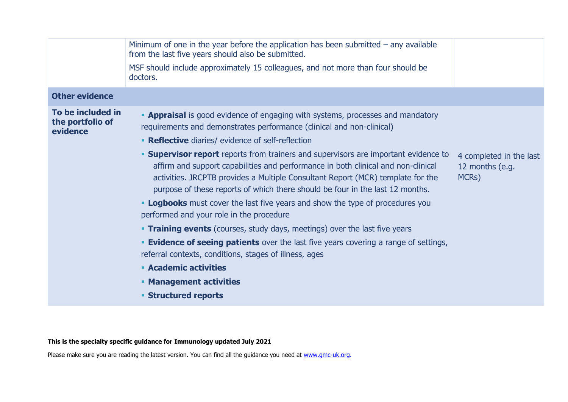|                                                   | Minimum of one in the year before the application has been submitted $-$ any available<br>from the last five years should also be submitted.                                                                                                                                                                                                                                                                                                                                                                                                                                                                                                                                                                                                                                                                                                                                                                                                           |                                                     |
|---------------------------------------------------|--------------------------------------------------------------------------------------------------------------------------------------------------------------------------------------------------------------------------------------------------------------------------------------------------------------------------------------------------------------------------------------------------------------------------------------------------------------------------------------------------------------------------------------------------------------------------------------------------------------------------------------------------------------------------------------------------------------------------------------------------------------------------------------------------------------------------------------------------------------------------------------------------------------------------------------------------------|-----------------------------------------------------|
|                                                   | MSF should include approximately 15 colleagues, and not more than four should be<br>doctors.                                                                                                                                                                                                                                                                                                                                                                                                                                                                                                                                                                                                                                                                                                                                                                                                                                                           |                                                     |
| <b>Other evidence</b>                             |                                                                                                                                                                                                                                                                                                                                                                                                                                                                                                                                                                                                                                                                                                                                                                                                                                                                                                                                                        |                                                     |
| To be included in<br>the portfolio of<br>evidence | <b>- Appraisal</b> is good evidence of engaging with systems, processes and mandatory<br>requirements and demonstrates performance (clinical and non-clinical)<br>• Reflective diaries/ evidence of self-reflection<br><b>Supervisor report</b> reports from trainers and supervisors are important evidence to<br>affirm and support capabilities and performance in both clinical and non-clinical<br>activities. JRCPTB provides a Multiple Consultant Report (MCR) template for the<br>purpose of these reports of which there should be four in the last 12 months.<br><b>- Logbooks</b> must cover the last five years and show the type of procedures you<br>performed and your role in the procedure<br><b>Training events</b> (courses, study days, meetings) over the last five years<br><b>Evidence of seeing patients</b> over the last five years covering a range of settings,<br>referral contexts, conditions, stages of illness, ages | 4 completed in the last<br>12 months (e.g.<br>MCRs) |
|                                                   | <b>Academic activities</b>                                                                                                                                                                                                                                                                                                                                                                                                                                                                                                                                                                                                                                                                                                                                                                                                                                                                                                                             |                                                     |
|                                                   | <b>• Management activities</b><br><b>Structured reports</b>                                                                                                                                                                                                                                                                                                                                                                                                                                                                                                                                                                                                                                                                                                                                                                                                                                                                                            |                                                     |
|                                                   |                                                                                                                                                                                                                                                                                                                                                                                                                                                                                                                                                                                                                                                                                                                                                                                                                                                                                                                                                        |                                                     |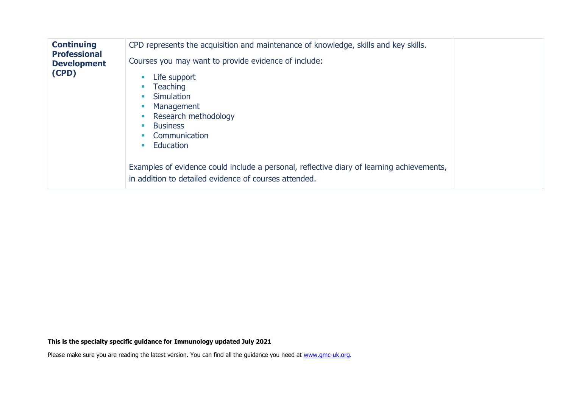| <b>Continuing</b><br><b>Professional</b> | CPD represents the acquisition and maintenance of knowledge, skills and key skills.                                                                       |  |
|------------------------------------------|-----------------------------------------------------------------------------------------------------------------------------------------------------------|--|
| <b>Development</b><br>(CPD)              | Courses you may want to provide evidence of include:<br>Life support<br>$\mathcal{L}_{\mathcal{A}}$<br><b>Teaching</b><br><b>Simulation</b><br>Management |  |
|                                          | Research methodology<br><b>Business</b><br><b>I</b><br>Communication<br>Education<br><b>College</b>                                                       |  |
|                                          | Examples of evidence could include a personal, reflective diary of learning achievements,<br>in addition to detailed evidence of courses attended.        |  |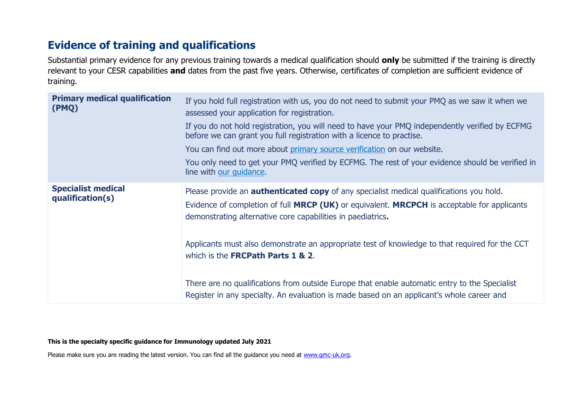# **Evidence of training and qualifications**

Substantial primary evidence for any previous training towards a medical qualification should **only** be submitted if the training is directly relevant to your CESR capabilities **and** dates from the past five years. Otherwise, certificates of completion are sufficient evidence of training.

| <b>Primary medical qualification</b><br>(PMQ) | If you hold full registration with us, you do not need to submit your PMQ as we saw it when we<br>assessed your application for registration.<br>If you do not hold registration, you will need to have your PMQ independently verified by ECFMG<br>before we can grant you full registration with a licence to practise.<br>You can find out more about primary source verification on our website.<br>You only need to get your PMQ verified by ECFMG. The rest of your evidence should be verified in<br>line with our quidance. |
|-----------------------------------------------|-------------------------------------------------------------------------------------------------------------------------------------------------------------------------------------------------------------------------------------------------------------------------------------------------------------------------------------------------------------------------------------------------------------------------------------------------------------------------------------------------------------------------------------|
| <b>Specialist medical</b><br>qualification(s) | Please provide an <b>authenticated copy</b> of any specialist medical qualifications you hold.<br>Evidence of completion of full MRCP (UK) or equivalent. MRCPCH is acceptable for applicants<br>demonstrating alternative core capabilities in paediatrics.<br>Applicants must also demonstrate an appropriate test of knowledge to that required for the CCT<br>which is the <b>FRCPath Parts 1 &amp; 2.</b><br>There are no qualifications from outside Europe that enable automatic entry to the Specialist                     |
|                                               | Register in any specialty. An evaluation is made based on an applicant's whole career and                                                                                                                                                                                                                                                                                                                                                                                                                                           |

#### **This is the specialty specific guidance for Immunology updated July 2021**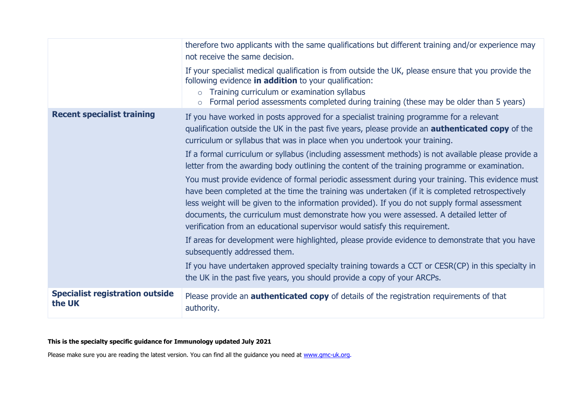|                                                  | therefore two applicants with the same qualifications but different training and/or experience may<br>not receive the same decision.                                                                                                                                                                                                                                                                                                                                                                                                                                              |
|--------------------------------------------------|-----------------------------------------------------------------------------------------------------------------------------------------------------------------------------------------------------------------------------------------------------------------------------------------------------------------------------------------------------------------------------------------------------------------------------------------------------------------------------------------------------------------------------------------------------------------------------------|
|                                                  | If your specialist medical qualification is from outside the UK, please ensure that you provide the<br>following evidence in addition to your qualification:<br>Training curriculum or examination syllabus<br>$\circ$<br>Formal period assessments completed during training (these may be older than 5 years)<br>$\circ$                                                                                                                                                                                                                                                        |
| <b>Recent specialist training</b>                | If you have worked in posts approved for a specialist training programme for a relevant<br>qualification outside the UK in the past five years, please provide an <b>authenticated copy</b> of the<br>curriculum or syllabus that was in place when you undertook your training.                                                                                                                                                                                                                                                                                                  |
|                                                  | If a formal curriculum or syllabus (including assessment methods) is not available please provide a<br>letter from the awarding body outlining the content of the training programme or examination.                                                                                                                                                                                                                                                                                                                                                                              |
|                                                  | You must provide evidence of formal periodic assessment during your training. This evidence must<br>have been completed at the time the training was undertaken (if it is completed retrospectively<br>less weight will be given to the information provided). If you do not supply formal assessment<br>documents, the curriculum must demonstrate how you were assessed. A detailed letter of<br>verification from an educational supervisor would satisfy this requirement.<br>If areas for development were highlighted, please provide evidence to demonstrate that you have |
|                                                  | subsequently addressed them.                                                                                                                                                                                                                                                                                                                                                                                                                                                                                                                                                      |
|                                                  | If you have undertaken approved specialty training towards a CCT or CESR(CP) in this specialty in<br>the UK in the past five years, you should provide a copy of your ARCPs.                                                                                                                                                                                                                                                                                                                                                                                                      |
| <b>Specialist registration outside</b><br>the UK | Please provide an <b>authenticated copy</b> of details of the registration requirements of that<br>authority.                                                                                                                                                                                                                                                                                                                                                                                                                                                                     |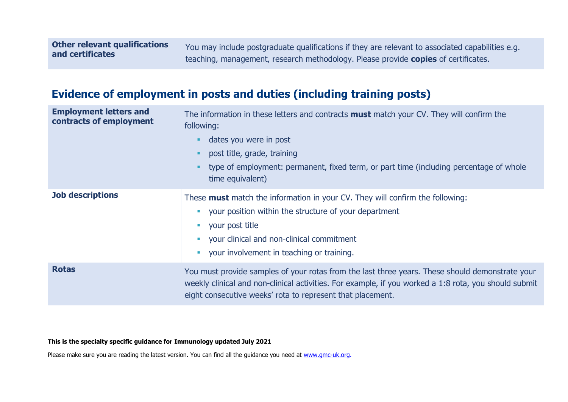You may include postgraduate qualifications if they are relevant to associated capabilities e.g. teaching, management, research methodology. Please provide **copies** of certificates.

# **Evidence of employment in posts and duties (including training posts)**

| <b>Employment letters and</b><br>contracts of employment | The information in these letters and contracts <b>must</b> match your CV. They will confirm the<br>following:<br>dates you were in post<br>post title, grade, training<br>type of employment: permanent, fixed term, or part time (including percentage of whole<br>time equivalent) |
|----------------------------------------------------------|--------------------------------------------------------------------------------------------------------------------------------------------------------------------------------------------------------------------------------------------------------------------------------------|
| <b>Job descriptions</b>                                  | These <b>must</b> match the information in your CV. They will confirm the following:<br>your position within the structure of your department<br>your post title<br>• your clinical and non-clinical commitment<br>your involvement in teaching or training.                         |
| <b>Rotas</b>                                             | You must provide samples of your rotas from the last three years. These should demonstrate your<br>weekly clinical and non-clinical activities. For example, if you worked a 1:8 rota, you should submit<br>eight consecutive weeks' rota to represent that placement.               |

#### **This is the specialty specific guidance for Immunology updated July 2021**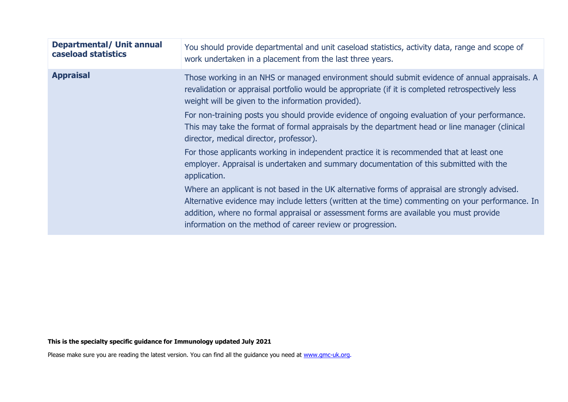| <b>Departmental/ Unit annual</b><br>caseload statistics | You should provide departmental and unit caseload statistics, activity data, range and scope of<br>work undertaken in a placement from the last three years.                                                                                                                                                                                                |
|---------------------------------------------------------|-------------------------------------------------------------------------------------------------------------------------------------------------------------------------------------------------------------------------------------------------------------------------------------------------------------------------------------------------------------|
| <b>Appraisal</b>                                        | Those working in an NHS or managed environment should submit evidence of annual appraisals. A<br>revalidation or appraisal portfolio would be appropriate (if it is completed retrospectively less<br>weight will be given to the information provided).                                                                                                    |
|                                                         | For non-training posts you should provide evidence of ongoing evaluation of your performance.<br>This may take the format of formal appraisals by the department head or line manager (clinical<br>director, medical director, professor).                                                                                                                  |
|                                                         | For those applicants working in independent practice it is recommended that at least one<br>employer. Appraisal is undertaken and summary documentation of this submitted with the<br>application.                                                                                                                                                          |
|                                                         | Where an applicant is not based in the UK alternative forms of appraisal are strongly advised.<br>Alternative evidence may include letters (written at the time) commenting on your performance. In<br>addition, where no formal appraisal or assessment forms are available you must provide<br>information on the method of career review or progression. |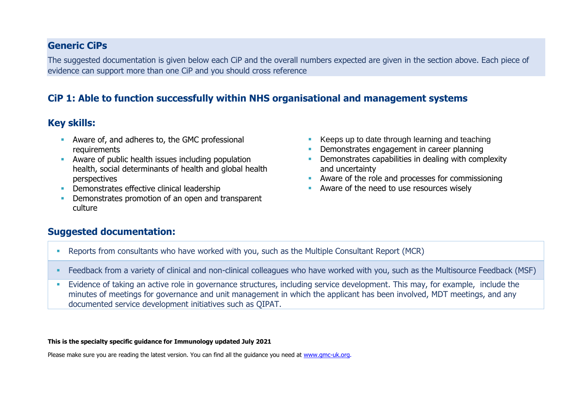### **Generic CiPs**

The suggested documentation is given below each CiP and the overall numbers expected are given in the section above. Each piece of evidence can support more than one CiP and you should cross reference

## **CiP 1: Able to function successfully within NHS organisational and management systems**

### **Key skills:**

- Aware of, and adheres to, the GMC professional requirements
- Aware of public health issues including population health, social determinants of health and global health perspectives
- **•** Demonstrates effective clinical leadership
- Demonstrates promotion of an open and transparent culture
- Keeps up to date through learning and teaching
- **Demonstrates engagement in career planning**
- **•** Demonstrates capabilities in dealing with complexity and uncertainty
- **E** Aware of the role and processes for commissioning
- Aware of the need to use resources wisely

### **Suggested documentation:**

- Reports from consultants who have worked with you, such as the Multiple Consultant Report (MCR)
- Feedback from a variety of clinical and non-clinical colleagues who have worked with you, such as the Multisource Feedback (MSF)
- Evidence of taking an active role in governance structures, including service development. This may, for example, include the minutes of meetings for governance and unit management in which the applicant has been involved, MDT meetings, and any documented service development initiatives such as QIPAT.

#### **This is the specialty specific guidance for Immunology updated July 2021**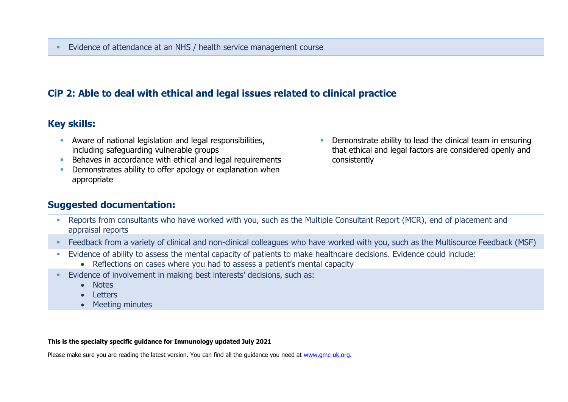## **CiP 2: Able to deal with ethical and legal issues related to clinical practice**

### **Key skills:**

- **EXECT** Aware of national legislation and legal responsibilities, including safeguarding vulnerable groups
- Behaves in accordance with ethical and legal requirements
- **•** Demonstrates ability to offer apology or explanation when appropriate
- **•** Demonstrate ability to lead the clinical team in ensuring that ethical and legal factors are considered openly and consistently

### **Suggested documentation:**

- Reports from consultants who have worked with you, such as the Multiple Consultant Report (MCR), end of placement and appraisal reports
- Feedback from a variety of clinical and non-clinical colleagues who have worked with you, such as the Multisource Feedback (MSF)
- Evidence of ability to assess the mental capacity of patients to make healthcare decisions. Evidence could include:
	- Reflections on cases where you had to assess a patient's mental capacity
- Evidence of involvement in making best interests' decisions, such as:
	- Notes
	- Letters
	- Meeting minutes

#### **This is the specialty specific guidance for Immunology updated July 2021**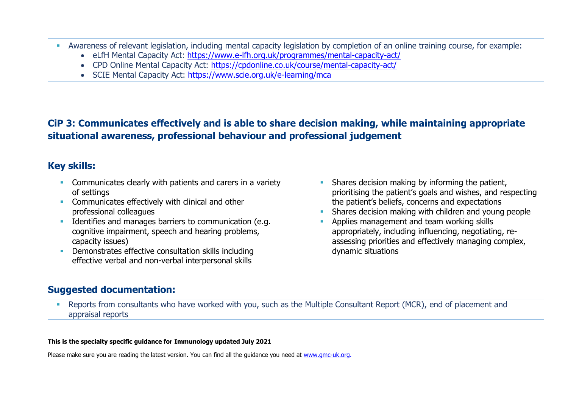- Awareness of relevant legislation, including mental capacity legislation by completion of an online training course, for example:
	- eLfH Mental Capacity Act:<https://www.e-lfh.org.uk/programmes/mental-capacity-act/>
	- CPD Online Mental Capacity Act:<https://cpdonline.co.uk/course/mental-capacity-act/>
	- SCIE Mental Capacity Act:<https://www.scie.org.uk/e-learning/mca>

# **CiP 3: Communicates effectively and is able to share decision making, while maintaining appropriate situational awareness, professional behaviour and professional judgement**

## **Key skills:**

- **EXECOMMUNICATELY COMMUNICATES** clearly with patients and carers in a variety of settings
- **EXECOMMUNICATES Effectively with clinical and other** professional colleagues
- **EXECUTE:** Identifies and manages barriers to communication (e.g. cognitive impairment, speech and hearing problems, capacity issues)
- Demonstrates effective consultation skills including effective verbal and non-verbal interpersonal skills
- **EXECT** Shares decision making by informing the patient, prioritising the patient's goals and wishes, and respecting the patient's beliefs, concerns and expectations
- Shares decision making with children and young people
- Applies management and team working skills appropriately, including influencing, negotiating, reassessing priorities and effectively managing complex, dynamic situations

### **Suggested documentation:**

**EXECTS FREPORTS from consultants who have worked with you, such as the Multiple Consultant Report (MCR), end of placement and** appraisal reports

#### **This is the specialty specific guidance for Immunology updated July 2021**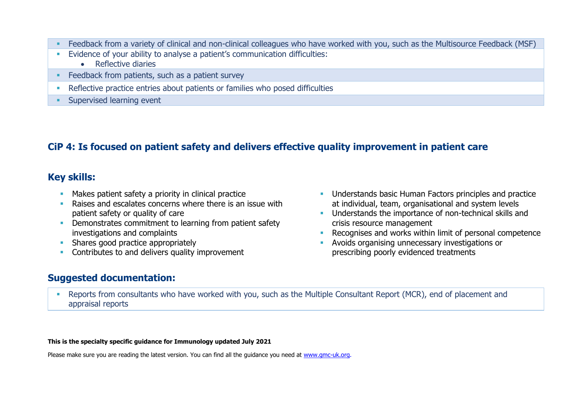- Feedback from a variety of clinical and non-clinical colleagues who have worked with you, such as the Multisource Feedback (MSF)
- **Evidence of your ability to analyse a patient's communication difficulties:** 
	- Reflective diaries
- Feedback from patients, such as a patient survey
- **•** Reflective practice entries about patients or families who posed difficulties
- **Exercised learning event**

# **CiP 4: Is focused on patient safety and delivers effective quality improvement in patient care**

### **Key skills:**

- **EXEDENT** Makes patient safety a priority in clinical practice
- Raises and escalates concerns where there is an issue with patient safety or quality of care
- **Demonstrates commitment to learning from patient safety** investigations and complaints
- **E** Shares good practice appropriately
- **EXECONTREE CONTREG** CONTRESS to and delivers quality improvement

### **Suggested documentation:**

- **■** Understands basic Human Factors principles and practice at individual, team, organisational and system levels
- **■** Understands the importance of non-technical skills and crisis resource management
- Recognises and works within limit of personal competence
- Avoids organising unnecessary investigations or prescribing poorly evidenced treatments
- **Reports from consultants who have worked with you, such as the Multiple Consultant Report (MCR), end of placement and** appraisal reports

#### **This is the specialty specific guidance for Immunology updated July 2021**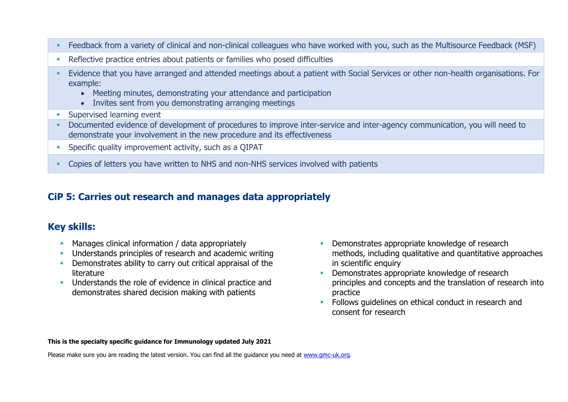- Feedback from a variety of clinical and non-clinical colleagues who have worked with you, such as the Multisource Feedback (MSF)
- **EXECTE ENTERITY PROTTER IS A LOCATE PROTTLE FIG.** POSED Alternative practice entries about patients who posed difficulties
- Evidence that you have arranged and attended meetings about a patient with Social Services or other non-health organisations. For example:
	- Meeting minutes, demonstrating your attendance and participation
	- Invites sent from you demonstrating arranging meetings
- **EXECUTE:** Supervised learning event
- **•** Documented evidence of development of procedures to improve inter-service and inter-agency communication, you will need to demonstrate your involvement in the new procedure and its effectiveness
- **EXECTE:** Specific quality improvement activity, such as a QIPAT
- **Copies of letters you have written to NHS and non-NHS services involved with patients**

## **CiP 5: Carries out research and manages data appropriately**

## **Key skills:**

- **EXECT** Manages clinical information / data appropriately
- Understands principles of research and academic writing
- **•** Demonstrates ability to carry out critical appraisal of the literature
- **■** Understands the role of evidence in clinical practice and demonstrates shared decision making with patients
- **EXECUTE:** Demonstrates appropriate knowledge of research methods, including qualitative and quantitative approaches in scientific enquiry
- Demonstrates appropriate knowledge of research principles and concepts and the translation of research into practice
- **EXECTE:** Follows quidelines on ethical conduct in research and consent for research

#### **This is the specialty specific guidance for Immunology updated July 2021**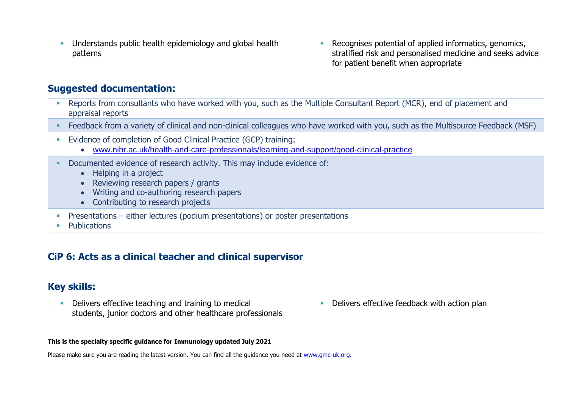- **•** Understands public health epidemiology and global health patterns
- Recognises potential of applied informatics, genomics, stratified risk and personalised medicine and seeks advice for patient benefit when appropriate

### **Suggested documentation:**

- Reports from consultants who have worked with you, such as the Multiple Consultant Report (MCR), end of placement and appraisal reports
- Feedback from a variety of clinical and non-clinical colleagues who have worked with you, such as the Multisource Feedback (MSF)
- **Evidence of completion of Good Clinical Practice (GCP) training:** 
	- [www.nihr.ac.uk/health-and-care-professionals/learning-and-support/good-clinical-practice](https://www.nihr.ac.uk/health-and-care-professionals/learning-and-support/good-clinical-practice.htm)
- **Documented evidence of research activity. This may include evidence of:** 
	- Helping in a project
	- Reviewing research papers / grants
	- Writing and co-authoring research papers
	- Contributing to research projects
- **•** Presentations either lectures (podium presentations) or poster presentations
- **Publications**

### **CiP 6: Acts as a clinical teacher and clinical supervisor**

### **Key skills:**

- **•** Delivers effective teaching and training to medical students, junior doctors and other healthcare professionals
- **•** Delivers effective feedback with action plan

#### **This is the specialty specific guidance for Immunology updated July 2021**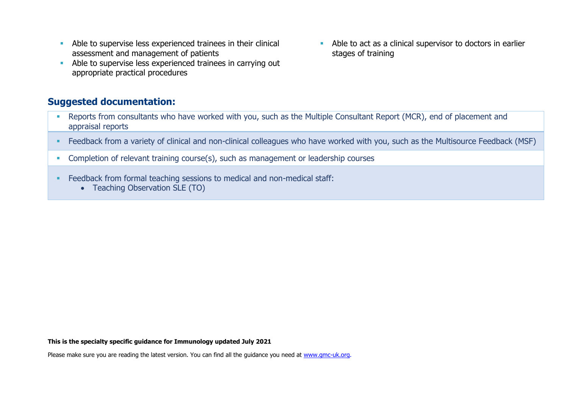- **EXECUTE:** Able to supervise less experienced trainees in their clinical assessment and management of patients
- Able to supervise less experienced trainees in carrying out appropriate practical procedures
- Able to act as a clinical supervisor to doctors in earlier stages of training

### **Suggested documentation:**

- **EXECTS FREPORTS from consultants who have worked with you, such as the Multiple Consultant Report (MCR), end of placement and** appraisal reports
- Feedback from a variety of clinical and non-clinical colleagues who have worked with you, such as the Multisource Feedback (MSF)
- **Completion of relevant training course(s), such as management or leadership courses**
- **Example 2** Feedback from formal teaching sessions to medical and non-medical staff:
	- Teaching Observation SLE (TO)

#### **This is the specialty specific guidance for Immunology updated July 2021**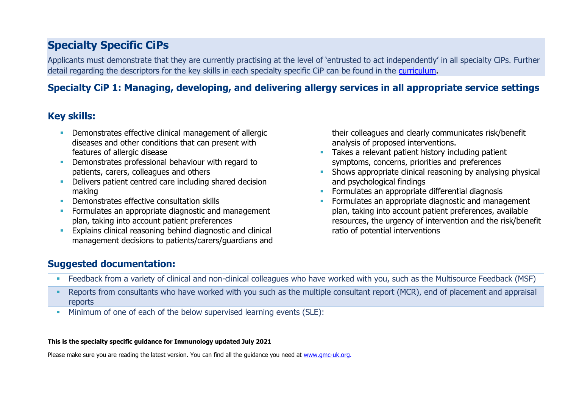# **Specialty Specific CiPs**

Applicants must demonstrate that they are currently practising at the level of 'entrusted to act independently' in all specialty CiPs. Further detail regarding the descriptors for the key skills in each specialty specific CiP can be found in the [curriculum.](https://www.gmc-uk.org/education/standards-guidance-and-curricula/curricula#T)

# **Specialty CiP 1: Managing, developing, and delivering allergy services in all appropriate service settings**

# **Key skills:**

- **Demonstrates effective clinical management of allergic** diseases and other conditions that can present with features of allergic disease
- **•** Demonstrates professional behaviour with regard to patients, carers, colleagues and others
- Delivers patient centred care including shared decision making
- **Demonstrates effective consultation skills**
- **Formulates an appropriate diagnostic and management** plan, taking into account patient preferences
- **Explains clinical reasoning behind diagnostic and clinical** management decisions to patients/carers/guardians and

their colleagues and clearly communicates risk/benefit analysis of proposed interventions.

- **EXECTE Takes a relevant patient history including patient** symptoms, concerns, priorities and preferences
- **EXECT** Shows appropriate clinical reasoning by analysing physical and psychological findings
- **EXECUTE:** Formulates an appropriate differential diagnosis
- Formulates an appropriate diagnostic and management plan, taking into account patient preferences, available resources, the urgency of intervention and the risk/benefit ratio of potential interventions

### **Suggested documentation:**

- Feedback from a variety of clinical and non-clinical colleagues who have worked with you, such as the Multisource Feedback (MSF)
- Reports from consultants who have worked with you such as the multiple consultant report (MCR), end of placement and appraisal reports
- Minimum of one of each of the below supervised learning events (SLE):

#### **This is the specialty specific guidance for Immunology updated July 2021**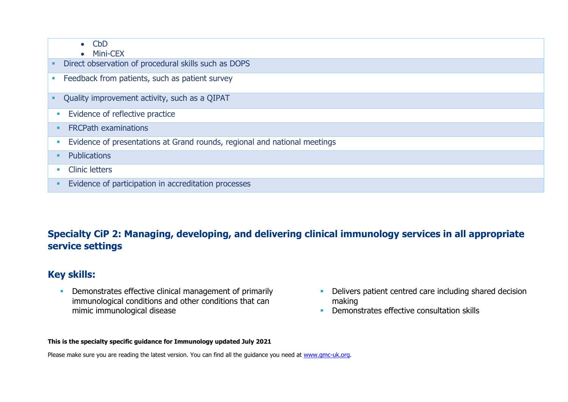| $\bullet$ CbD<br>$\bullet$ Mini-CEX                                       |
|---------------------------------------------------------------------------|
| Direct observation of procedural skills such as DOPS                      |
| Feedback from patients, such as patient survey                            |
| Quality improvement activity, such as a QIPAT                             |
| Evidence of reflective practice<br>×                                      |
| <b>FRCPath examinations</b>                                               |
| Evidence of presentations at Grand rounds, regional and national meetings |
| <b>Publications</b>                                                       |
| <b>Clinic letters</b>                                                     |
| Evidence of participation in accreditation processes                      |

# **Specialty CiP 2: Managing, developing, and delivering clinical immunology services in all appropriate service settings**

## **Key skills:**

**• Demonstrates effective clinical management of primarily** immunological conditions and other conditions that can mimic immunological disease

- Delivers patient centred care including shared decision making
- **Demonstrates effective consultation skills**

#### **This is the specialty specific guidance for Immunology updated July 2021**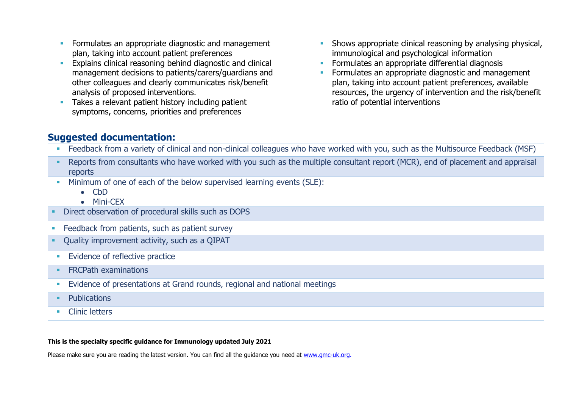- **EXECUTE:** Formulates an appropriate diagnostic and management plan, taking into account patient preferences
- **Explains clinical reasoning behind diagnostic and clinical** management decisions to patients/carers/guardians and other colleagues and clearly communicates risk/benefit analysis of proposed interventions.
- **Takes a relevant patient history including patient** symptoms, concerns, priorities and preferences
- **EXECT** Shows appropriate clinical reasoning by analysing physical, immunological and psychological information
- **EXECTE Formulates an appropriate differential diagnosis**
- **•** Formulates an appropriate diagnostic and management plan, taking into account patient preferences, available resources, the urgency of intervention and the risk/benefit ratio of potential interventions

### **Suggested documentation:**

| • Feedback from a variety of clinical and non-clinical colleagues who have worked with you, such as the Multisource Feedback (MSF) |
|------------------------------------------------------------------------------------------------------------------------------------|
| Reports from consultants who have worked with you such as the multiple consultant report (MCR), end of placement and appraisal     |
| reports                                                                                                                            |

- **EXECUTE:** Minimum of one of each of the below supervised learning events (SLE):
	- CbD
	- Mini-CEX
- Direct observation of procedural skills such as DOPS
- **EXEC** Feedback from patients, such as patient survey
- Quality improvement activity, such as a QIPAT
- **Evidence of reflective practice**
- **ERCPath examinations**
- **Evidence of presentations at Grand rounds, regional and national meetings**
- Publications
- **•** Clinic letters

#### **This is the specialty specific guidance for Immunology updated July 2021**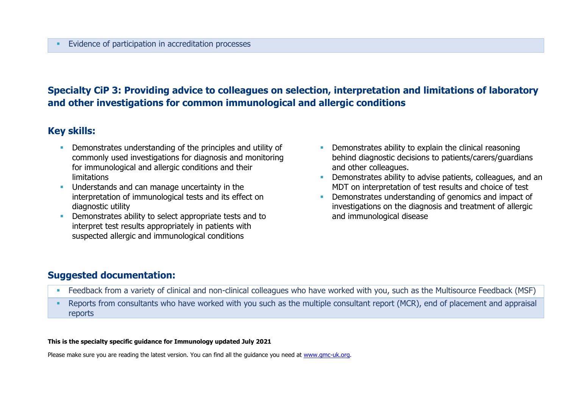## **Specialty CiP 3: Providing advice to colleagues on selection, interpretation and limitations of laboratory and other investigations for common immunological and allergic conditions**

### **Key skills:**

- **Demonstrates understanding of the principles and utility of** commonly used investigations for diagnosis and monitoring for immunological and allergic conditions and their limitations
- **■** Understands and can manage uncertainty in the interpretation of immunological tests and its effect on diagnostic utility
- **Demonstrates ability to select appropriate tests and to** interpret test results appropriately in patients with suspected allergic and immunological conditions
- **Demonstrates ability to explain the clinical reasoning** behind diagnostic decisions to patients/carers/guardians and other colleagues.
- Demonstrates ability to advise patients, colleagues, and an MDT on interpretation of test results and choice of test
- Demonstrates understanding of genomics and impact of investigations on the diagnosis and treatment of allergic and immunological disease

### **Suggested documentation:**

- Feedback from a variety of clinical and non-clinical colleagues who have worked with you, such as the Multisource Feedback (MSF)
- Reports from consultants who have worked with you such as the multiple consultant report (MCR), end of placement and appraisal reports

#### **This is the specialty specific guidance for Immunology updated July 2021**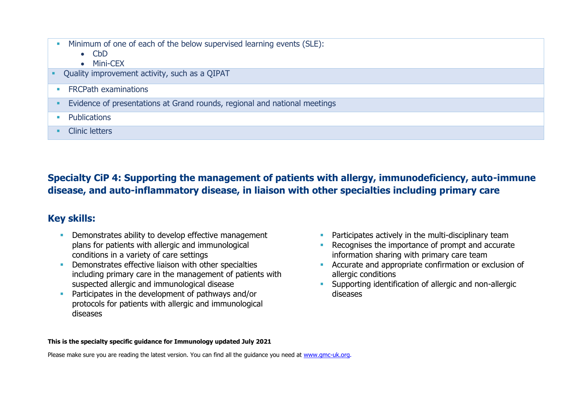- **EXECUTE:** Minimum of one of each of the below supervised learning events (SLE):
	- CbD
	- Mini-CEX
- Ouality improvement activity, such as a OIPAT
- **ERCPath examinations**
- **Evidence of presentations at Grand rounds, regional and national meetings**
- **•** Publications
- Clinic letters

**Specialty CiP 4: Supporting the management of patients with allergy, immunodeficiency, auto-immune disease, and auto-inflammatory disease, in liaison with other specialties including primary care**

## **Key skills:**

- **•** Demonstrates ability to develop effective management plans for patients with allergic and immunological conditions in a variety of care settings
- **•** Demonstrates effective liaison with other specialties including primary care in the management of patients with suspected allergic and immunological disease
- **Participates in the development of pathways and/or** protocols for patients with allergic and immunological diseases
- **•** Participates actively in the multi-disciplinary team
- Recognises the importance of prompt and accurate information sharing with primary care team
- Accurate and appropriate confirmation or exclusion of allergic conditions
- **EXECUTE:** Supporting identification of allergic and non-allergic diseases

#### **This is the specialty specific guidance for Immunology updated July 2021**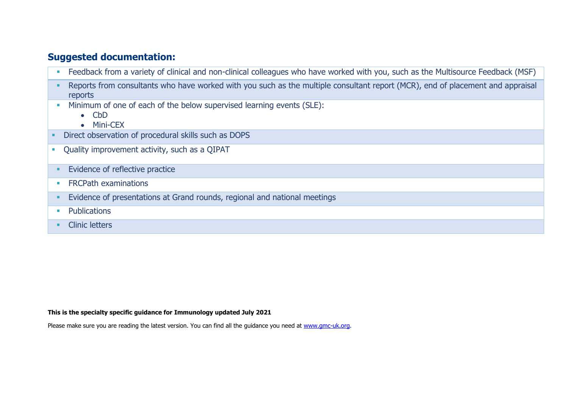### **Suggested documentation:**

- **EXECT** Feedback from a variety of clinical and non-clinical colleagues who have worked with you, such as the Multisource Feedback (MSF)
- **•** Reports from consultants who have worked with you such as the multiple consultant report (MCR), end of placement and appraisal reports
- **Minimum of one of each of the below supervised learning events (SLE):** 
	- CbD
	- Mini-CEX
- Direct observation of procedural skills such as DOPS
- **•** Quality improvement activity, such as a QIPAT
- **Evidence of reflective practice**
- **ERCPath examinations**
- **Evidence of presentations at Grand rounds, regional and national meetings**
- Publications
- Clinic letters

#### **This is the specialty specific guidance for Immunology updated July 2021**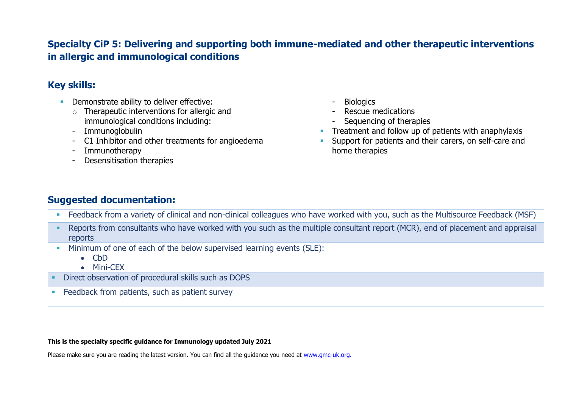## **Specialty CiP 5: Delivering and supporting both immune-mediated and other therapeutic interventions in allergic and immunological conditions**

## **Key skills:**

- **•** Demonstrate ability to deliver effective:
	- $\circ$  Therapeutic interventions for allergic and immunological conditions including:
	- Immunoglobulin
	- C1 Inhibitor and other treatments for angioedema
	- Immunotherapy
	- Desensitisation therapies
- **Biologics**
- Rescue medications
- Sequencing of therapies
- **•** Treatment and follow up of patients with anaphylaxis
- **EXECT** Support for patients and their carers, on self-care and home therapies

# **Suggested documentation:**

- Feedback from a variety of clinical and non-clinical colleagues who have worked with you, such as the Multisource Feedback (MSF)
- Reports from consultants who have worked with you such as the multiple consultant report (MCR), end of placement and appraisal reports
- **EXECUTE:** Minimum of one of each of the below supervised learning events (SLE):
	- CbD
	- Mini-CEX
- Direct observation of procedural skills such as DOPS
- **EXECO FREEDBACK from patients, such as patient survey**

#### **This is the specialty specific guidance for Immunology updated July 2021**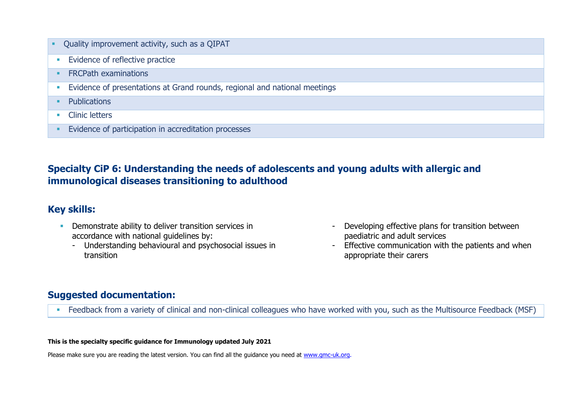| Æ | Quality improvement activity, such as a QIPAT                             |
|---|---------------------------------------------------------------------------|
|   | Evidence of reflective practice                                           |
|   | <b>FRCPath examinations</b>                                               |
|   | Evidence of presentations at Grand rounds, regional and national meetings |
|   | <b>Publications</b>                                                       |
|   | <b>Clinic letters</b>                                                     |
|   | Evidence of participation in accreditation processes                      |

# **Specialty CiP 6: Understanding the needs of adolescents and young adults with allergic and immunological diseases transitioning to adulthood**

### **Key skills:**

- **•** Demonstrate ability to deliver transition services in accordance with national guidelines by:
	- Understanding behavioural and psychosocial issues in transition
- Developing effective plans for transition between paediatric and adult services
- Effective communication with the patients and when appropriate their carers

## **Suggested documentation:**

■ Feedback from a variety of clinical and non-clinical colleagues who have worked with you, such as the Multisource Feedback (MSF)

#### **This is the specialty specific guidance for Immunology updated July 2021**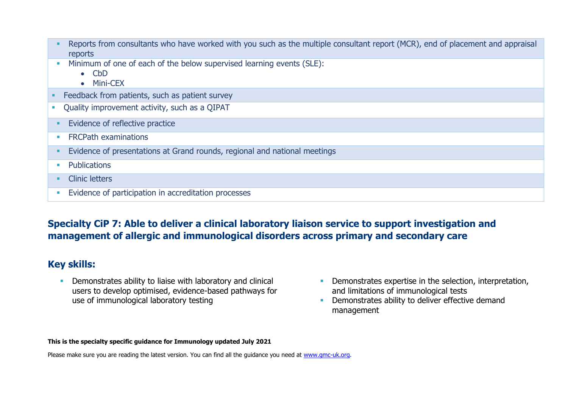|                             | Reports from consultants who have worked with you such as the multiple consultant report (MCR), end of placement and appraisal<br>reports |
|-----------------------------|-------------------------------------------------------------------------------------------------------------------------------------------|
|                             | Minimum of one of each of the below supervised learning events (SLE):<br>$\bullet$ CbD<br><b>Mini-CEX</b><br>$\bullet$                    |
|                             | Feedback from patients, such as patient survey                                                                                            |
|                             | Quality improvement activity, such as a QIPAT                                                                                             |
| ٠                           | Evidence of reflective practice                                                                                                           |
| $\mathcal{L}_{\mathcal{A}}$ | <b>FRCPath examinations</b>                                                                                                               |
|                             | Evidence of presentations at Grand rounds, regional and national meetings                                                                 |
| $\mathcal{L}_{\mathcal{A}}$ | Publications                                                                                                                              |
|                             | <b>Clinic letters</b>                                                                                                                     |
| $\overline{\phantom{a}}$    | Evidence of participation in accreditation processes                                                                                      |

## **Specialty CiP 7: Able to deliver a clinical laboratory liaison service to support investigation and management of allergic and immunological disorders across primary and secondary care**

### **Key skills:**

**•** Demonstrates ability to liaise with laboratory and clinical users to develop optimised, evidence-based pathways for use of immunological laboratory testing

- **•** Demonstrates expertise in the selection, interpretation, and limitations of immunological tests
- **•** Demonstrates ability to deliver effective demand management

#### **This is the specialty specific guidance for Immunology updated July 2021**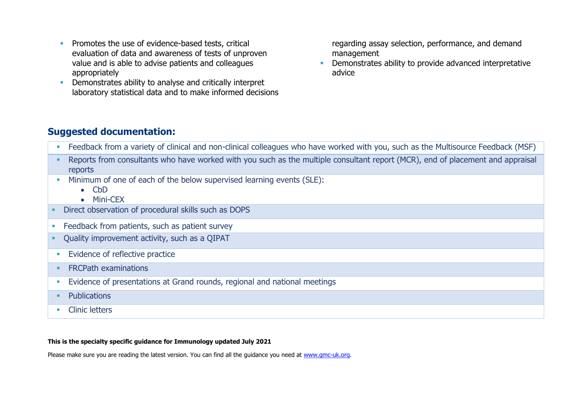- **•** Promotes the use of evidence-based tests, critical evaluation of data and awareness of tests of unproven value and is able to advise patients and colleagues appropriately
- **•** Demonstrates ability to analyse and critically interpret laboratory statistical data and to make informed decisions

regarding assay selection, performance, and demand management

**EXEC** Demonstrates ability to provide advanced interpretative advice

### **Suggested documentation:**

- **EXECT** Feedback from a variety of clinical and non-clinical colleagues who have worked with you, such as the Multisource Feedback (MSF)
- Reports from consultants who have worked with you such as the multiple consultant report (MCR), end of placement and appraisal reports
- **EXECUTE:** Minimum of one of each of the below supervised learning events (SLE):
	- CbD
	- Mini-CEX
- Direct observation of procedural skills such as DOPS
- **EXECO FREEDBACK from patients, such as patient survey**
- Ouality improvement activity, such as a OIPAT
- **Evidence of reflective practice**
- **■** FRCPath examinations
- **Evidence of presentations at Grand rounds, regional and national meetings**
- Publications
- Clinic letters

#### **This is the specialty specific guidance for Immunology updated July 2021**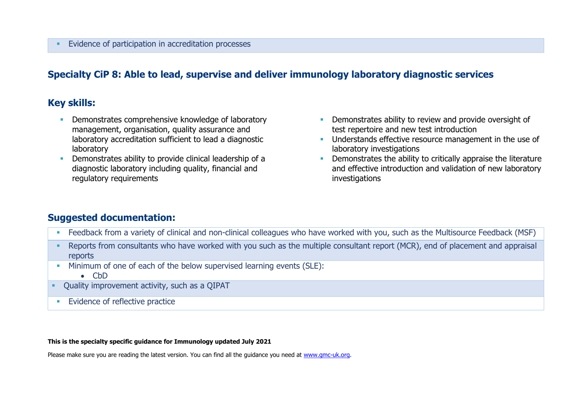### **Specialty CiP 8: Able to lead, supervise and deliver immunology laboratory diagnostic services**

### **Key skills:**

- **Demonstrates comprehensive knowledge of laboratory** management, organisation, quality assurance and laboratory accreditation sufficient to lead a diagnostic laboratory
- Demonstrates ability to provide clinical leadership of a diagnostic laboratory including quality, financial and regulatory requirements
- **EXECUTE:** Demonstrates ability to review and provide oversight of test repertoire and new test introduction
- **■** Understands effective resource management in the use of laboratory investigations
- **•** Demonstrates the ability to critically appraise the literature and effective introduction and validation of new laboratory investigations

### **Suggested documentation:**

- **EXECT** Feedback from a variety of clinical and non-clinical colleagues who have worked with you, such as the Multisource Feedback (MSF)
- Reports from consultants who have worked with you such as the multiple consultant report (MCR), end of placement and appraisal reports
- **EXECUTE:** Minimum of one of each of the below supervised learning events (SLE):
	- CbD
- Ouality improvement activity, such as a OIPAT
- **EVIDENCE OF reflective practice**

#### **This is the specialty specific guidance for Immunology updated July 2021**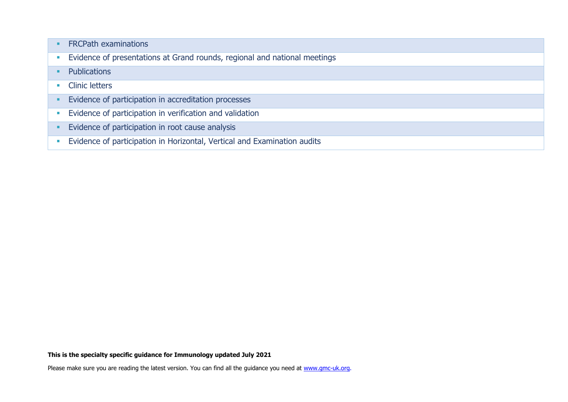|                             | <b>FRCPath examinations</b>                                               |
|-----------------------------|---------------------------------------------------------------------------|
| $\mathcal{L}_{\mathcal{A}}$ | Evidence of presentations at Grand rounds, regional and national meetings |
|                             | <b>Publications</b>                                                       |
| $\blacksquare$              | <b>Clinic letters</b>                                                     |
| ٠                           | Evidence of participation in accreditation processes                      |
| $\overline{\phantom{a}}$    | Evidence of participation in verification and validation                  |
| ٠                           | Evidence of participation in root cause analysis                          |
|                             | Evidence of participation in Horizontal, Vertical and Examination audits  |